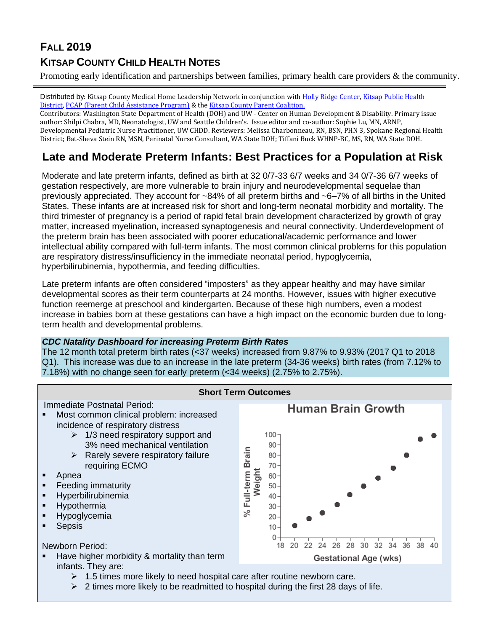# **FALL 2019 KITSAP COUNTY CHILD HEALTH NOTES**

Promoting early identification and partnerships between families, primary health care providers & the community.

Distributed by: Kitsap County Medical Home Leadership Network in conjunction wit[h Holly Ridge](https://hollyridge.org/infant-toddler-program-overview/) Center, Kitsap Public Health [District,](http://www.kitsappublichealth.org/communityHealth/CSHCN.php) [PCAP \(Parent Child Assistance Program\)](http://agapekitsap.org/pcap/2616531) & the [Kitsap County Parent Coalition.](http://www.kitsapcountyparentcoalition.com/index.html)

Contributors: Washington State Department of Health (DOH) and UW - Center on Human Development & Disability. Primary issue author: Shilpi Chabra, MD, Neonatologist, UW and Seattle Children's. Issue editor and co-author: Sophie Lu, MN, ARNP, Developmental Pediatric Nurse Practitioner, UW CHDD. Reviewers: Melissa Charbonneau, RN, BSN, PHN 3, Spokane Regional Health District; Bat-Sheva Stein RN, MSN, Perinatal Nurse Consultant, WA State DOH; Tiffani Buck WHNP-BC, MS, RN, WA State DOH.

## **Late and Moderate Preterm Infants: Best Practices for a Population at Risk**

Moderate and late preterm infants, defined as birth at 32 0/7-33 6/7 weeks and 34 0/7-36 6/7 weeks of gestation respectively, are more vulnerable to brain injury and neurodevelopmental sequelae than previously appreciated. They account for ~84% of all preterm births and ~6–7% of all births in the United States. These infants are at increased risk for short and long-term neonatal morbidity and mortality. The third trimester of pregnancy is a period of rapid fetal brain development characterized by growth of gray matter, increased myelination, increased synaptogenesis and neural connectivity. Underdevelopment of the preterm brain has been associated with poorer educational/academic performance and lower intellectual ability compared with full-term infants. The most common clinical problems for this population are respiratory distress/insufficiency in the immediate neonatal period, hypoglycemia, hyperbilirubinemia, hypothermia, and feeding difficulties.

Late preterm infants are often considered "imposters" as they appear healthy and may have similar developmental scores as their term counterparts at 24 months. However, issues with higher executive function reemerge at preschool and kindergarten. Because of these high numbers, even a modest increase in babies born at these gestations can have a high impact on the economic burden due to longterm health and developmental problems.

### *CDC Natality Dashboard for increasing Preterm Birth Rates*

The 12 month total preterm birth rates (<37 weeks) increased from 9.87% to 9.93% (2017 Q1 to 2018 Q1). This increase was due to an increase in the late preterm (34-36 weeks) birth rates (from 7.12% to 7.18%) with no change seen for early preterm (<34 weeks) (2.75% to 2.75%).



- $\geq 1.5$  times more likely to need hospital care after routine newborn care.
- $\geq 2$  times more likely to be readmitted to hospital during the first 28 days of life.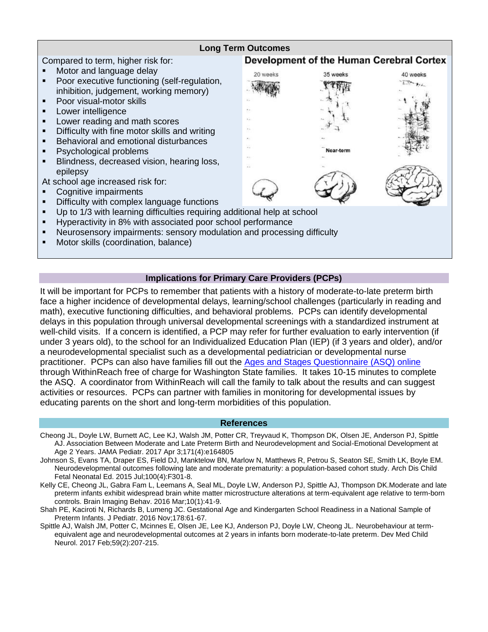

#### **Implications for Primary Care Providers (PCPs)**

It will be important for PCPs to remember that patients with a history of moderate-to-late preterm birth face a higher incidence of developmental delays, learning/school challenges (particularly in reading and math), executive functioning difficulties, and behavioral problems. PCPs can identify developmental delays in this population through universal developmental screenings with a standardized instrument at well-child visits. If a concern is identified, a PCP may refer for further evaluation to early intervention (if under 3 years old), to the school for an Individualized Education Plan (IEP) (if 3 years and older), and/or a neurodevelopmental specialist such as a developmental pediatrician or developmental nurse practitioner. PCPs can also have families fill out the [Ages and Stages Questionnaire \(ASQ\) online](http://parenthelp123.org/child-development/child-development-screening-public) through WithinReach free of charge for Washington State families. It takes 10-15 minutes to complete the ASQ. A coordinator from WithinReach will call the family to talk about the results and can suggest activities or resources. PCPs can partner with families in monitoring for developmental issues by educating parents on the short and long-term morbidities of this population.

#### **References**

- Cheong JL, Doyle LW, Burnett AC, Lee KJ, Walsh JM, Potter CR, Treyvaud K, Thompson DK, Olsen JE, Anderson PJ, Spittle AJ. Association Between Moderate and Late Preterm Birth and Neurodevelopment and Social-Emotional Development at Age 2 Years. JAMA Pediatr. 2017 Apr 3;171(4):e164805
- Johnson S, Evans TA, Draper ES, Field DJ, Manktelow BN, Marlow N, Matthews R, Petrou S, Seaton SE, Smith LK, Boyle EM. Neurodevelopmental outcomes following late and moderate prematurity: a population-based cohort study. Arch Dis Child Fetal Neonatal Ed. 2015 Jul;100(4):F301-8.
- Kelly CE, Cheong JL, Gabra Fam L, Leemans A, Seal ML, Doyle LW, Anderson PJ, Spittle AJ, Thompson DK.Moderate and late preterm infants exhibit widespread brain white matter microstructure alterations at term-equivalent age relative to term-born controls. Brain Imaging Behav. 2016 Mar;10(1):41-9.
- Shah PE, Kaciroti N, Richards B, Lumeng JC. Gestational Age and Kindergarten School Readiness in a National Sample of Preterm Infants. J Pediatr. 2016 Nov;178:61-67.
- Spittle AJ, Walsh JM, Potter C, Mcinnes E, Olsen JE, Lee KJ, Anderson PJ, Doyle LW, Cheong JL. Neurobehaviour at termequivalent age and neurodevelopmental outcomes at 2 years in infants born moderate-to-late preterm. Dev Med Child Neurol. 2017 Feb;59(2):207-215.